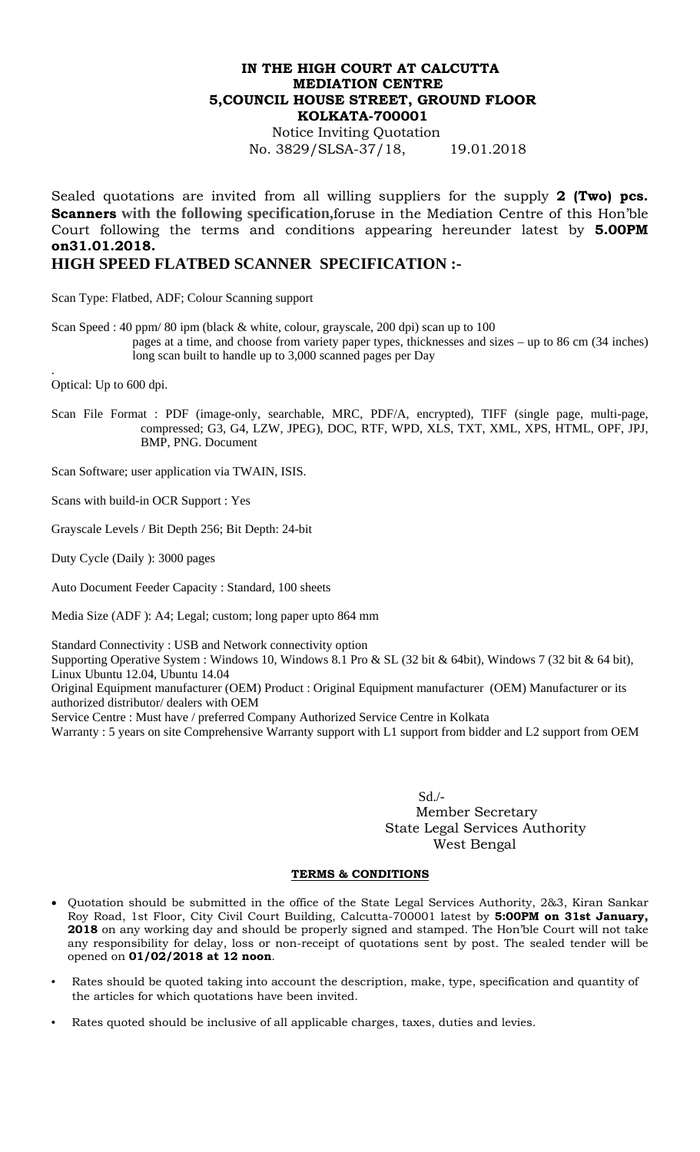## **IN THE HIGH COURT AT CALCUTTA MEDIATION CENTRE 5,COUNCIL HOUSE STREET, GROUND FLOOR KOLKATA-700001**

Notice Inviting Quotation No. 3829/SLSA-37/18, 19.01.2018

Sealed quotations are invited from all willing suppliers for the supply **2 (Two) pcs. Scanners with the following specification,**foruse in the Mediation Centre of this Hon'ble Court following the terms and conditions appearing hereunder latest by **5.00PM on31.01.2018.** 

## **HIGH SPEED FLATBED SCANNER SPECIFICATION :-**

Scan Type: Flatbed, ADF; Colour Scanning support

Scan Speed : 40 ppm/ 80 ipm (black  $&$  white, colour, grayscale, 200 dpi) scan up to 100 pages at a time, and choose from variety paper types, thicknesses and sizes – up to 86 cm (34 inches) long scan built to handle up to 3,000 scanned pages per Day

Optical: Up to 600 dpi.

.

Scan File Format : PDF (image-only, searchable, MRC, PDF/A, encrypted), TIFF (single page, multi-page, compressed; G3, G4, LZW, JPEG), DOC, RTF, WPD, XLS, TXT, XML, XPS, HTML, OPF, JPJ, BMP, PNG. Document

Scan Software; user application via TWAIN, ISIS.

Scans with build-in OCR Support : Yes

Grayscale Levels / Bit Depth 256; Bit Depth: 24-bit

Duty Cycle (Daily ): 3000 pages

Auto Document Feeder Capacity : Standard, 100 sheets

Media Size (ADF ): A4; Legal; custom; long paper upto 864 mm

Standard Connectivity : USB and Network connectivity option

Supporting Operative System : Windows 10, Windows 8.1 Pro & SL (32 bit & 64bit), Windows 7 (32 bit & 64 bit), Linux Ubuntu 12.04, Ubuntu 14.04

Original Equipment manufacturer (OEM) Product : Original Equipment manufacturer (OEM) Manufacturer or its authorized distributor/ dealers with OEM

Service Centre : Must have / preferred Company Authorized Service Centre in Kolkata

Warranty : 5 years on site Comprehensive Warranty support with L1 support from bidder and L2 support from OEM

 Sd./- Member Secretary State Legal Services Authority West Bengal

## **TERMS & CONDITIONS**

- Quotation should be submitted in the office of the State Legal Services Authority, 2&3, Kiran Sankar Roy Road, 1st Floor, City Civil Court Building, Calcutta-700001 latest by **5:00PM on 31st January, 2018** on any working day and should be properly signed and stamped. The Hon'ble Court will not take any responsibility for delay, loss or non-receipt of quotations sent by post. The sealed tender will be opened on **01/02/2018 at 12 noon**.
- Rates should be quoted taking into account the description, make, type, specification and quantity of the articles for which quotations have been invited.
- Rates quoted should be inclusive of all applicable charges, taxes, duties and levies.